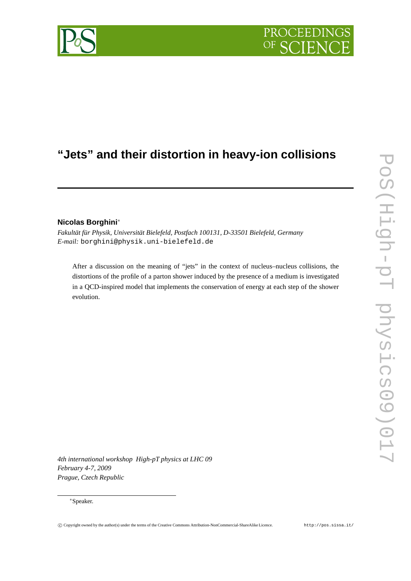# PROCEEDIN

# **"Jets" and their distortion in heavy-ion collisions**

# **Nicolas Borghini**∗

*Fakultät für Physik, Universität Bielefeld, Postfach 100131, D-33501 Bielefeld, Germany E-mail:* borghini@physik.uni-bielefeld.de

After a discussion on the meaning of "jets" in the context of nucleus–nucleus collisions, the distortions of the profile of a parton shower induced by the presence of a medium is investigated in a QCD-inspired model that implements the conservation of energy at each step of the shower evolution.

*4th international workshop High-pT physics at LHC 09 February 4-7, 2009 Prague, Czech Republic*

#### ∗Speaker.

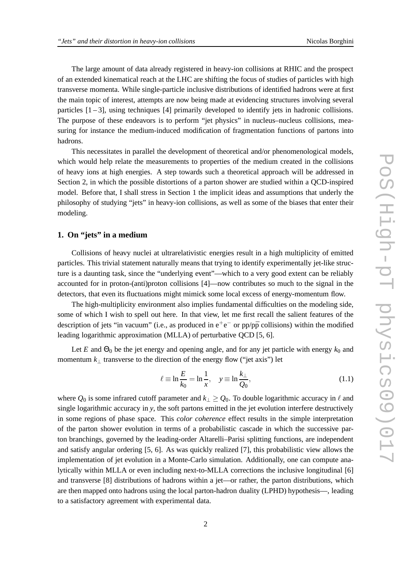The large amount of data already registered in heavy-ion collisions at RHIC and the prospect of an extended kinematical reach at the LHC are shifting the focus of studies of particles with high transverse momenta. While single-particle inclusive distributions of identified hadrons were at first the main topic of interest, attempts are now being made at evidencing structures involving several particles  $[1-3]$ , using techniques  $[4]$  primarily developed to identify jets in hadronic collisions. The purpose of these endeavors is to perform "jet physics" in nucleus–nucleus collisions, measuring for instance the medium-induced modification of fragmentation functions of partons into hadrons.

This necessitates in parallel the development of theoretical and/or phenomenological models, which would help relate the measurements to properties of the medium created in the collisions of heavy ions at high energies. A step towards such a theoretical approach will be addressed in Section 2, in which the possible distortions of a parton shower are studied within a QCD-inspired model. Before that, I shall stress in Section 1 the implicit ideas and assumptions that underly the philosophy of studying "jets" in heavy-ion collisions, as well as some of the biases that enter their modeling.

### **1. On "jets" in a medium**

Collisions of heavy nuclei at ultrarelativistic energies result in a high multiplicity of emitted particles. This trivial statement naturally means that trying to identify experimentally jet-like structure is a daunting task, since the "underlying event"—which to a very good extent can be reliably accounted for in proton-(anti)proton collisions [4]—now contributes so much to the signal in the detectors, that even its fluctuations might mimick some local excess of energy-momentum flow.

The high-multiplicity environment also implies fundamental difficulties on the modeling side, some of which I wish to spell out here. In that view, let me first recall the salient features of the description of jets "in vacuum" (i.e., as produced in  $e^+e^-$  or pp/p $\bar{p}$  collisions) within the modified leading logarithmic approximation (MLLA) of perturbative QCD [5, 6].

Let *E* and  $\Theta_0$  be the jet energy and opening angle, and for any jet particle with energy  $k_0$  and momentum  $k_{\perp}$  transverse to the direction of the energy flow ("jet axis") let

$$
\ell \equiv \ln \frac{E}{k_0} = \ln \frac{1}{x}, \quad y \equiv \ln \frac{k_\perp}{Q_0}, \tag{1.1}
$$

where  $Q_0$  is some infrared cutoff parameter and  $k_1 \geq Q_0$ . To double logarithmic accuracy in  $\ell$  and single logarithmic accuracy in *y*, the soft partons emitted in the jet evolution interfere destructively in some regions of phase space. This *color coherence* effect results in the simple interpretation of the parton shower evolution in terms of a probabilistic cascade in which the successive parton branchings, governed by the leading-order Altarelli–Parisi splitting functions, are independent and satisfy angular ordering [5, 6]. As was quickly realized [7], this probabilistic view allows the implementation of jet evolution in a Monte-Carlo simulation. Additionally, one can compute analytically within MLLA or even including next-to-MLLA corrections the inclusive longitudinal [6] and transverse [8] distributions of hadrons within a jet—or rather, the parton distributions, which are then mapped onto hadrons using the local parton-hadron duality (LPHD) hypothesis—, leading to a satisfactory agreement with experimental data.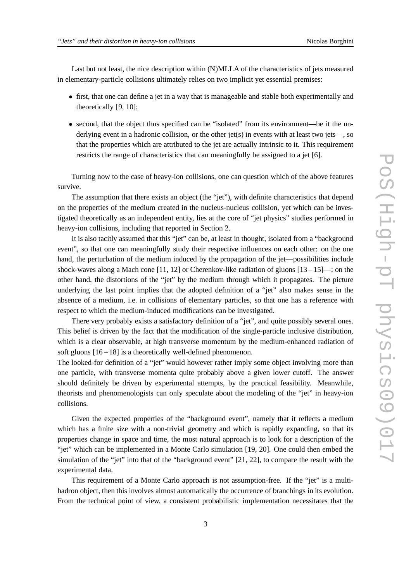Last but not least, the nice description within (N)MLLA of the characteristics of jets measured in elementary-particle collisions ultimately relies on two implicit yet essential premises:

- first, that one can define a jet in a way that is manageable and stable both experimentally and theoretically [9, 10];
- second, that the object thus specified can be "isolated" from its environment—be it the underlying event in a hadronic collision, or the other jet(s) in events with at least two jets—, so that the properties which are attributed to the jet are actually intrinsic to it. This requirement restricts the range of characteristics that can meaningfully be assigned to a jet [6].

Turning now to the case of heavy-ion collisions, one can question which of the above features survive.

The assumption that there exists an object (the "jet"), with definite characteristics that depend on the properties of the medium created in the nucleus-nucleus collision, yet which can be investigated theoretically as an independent entity, lies at the core of "jet physics" studies performed in heavy-ion collisions, including that reported in Section 2.

It is also tacitly assumed that this "jet" can be, at least in thought, isolated from a "background event", so that one can meaningfully study their respective influences on each other: on the one hand, the perturbation of the medium induced by the propagation of the jet—possibilities include shock-waves along a Mach cone [11, 12] or Cherenkov-like radiation of gluons  $[13-15]$ —; on the other hand, the distortions of the "jet" by the medium through which it propagates. The picture underlying the last point implies that the adopted definition of a "jet" also makes sense in the absence of a medium, i.e. in collisions of elementary particles, so that one has a reference with respect to which the medium-induced modifications can be investigated.

There very probably exists a satisfactory definition of a "jet", and quite possibly several ones. This belief is driven by the fact that the modification of the single-particle inclusive distribution, which is a clear observable, at high transverse momentum by the medium-enhanced radiation of soft gluons [16 – 18] is a theoretically well-defined phenomenon.

The looked-for definition of a "jet" would however rather imply some object involving more than one particle, with transverse momenta quite probably above a given lower cutoff. The answer should definitely be driven by experimental attempts, by the practical feasibility. Meanwhile, theorists and phenomenologists can only speculate about the modeling of the "jet" in heavy-ion collisions.

Given the expected properties of the "background event", namely that it reflects a medium which has a finite size with a non-trivial geometry and which is rapidly expanding, so that its properties change in space and time, the most natural approach is to look for a description of the "jet" which can be implemented in a Monte Carlo simulation [19, 20]. One could then embed the simulation of the "jet" into that of the "background event" [21, 22], to compare the result with the experimental data.

This requirement of a Monte Carlo approach is not assumption-free. If the "jet" is a multihadron object, then this involves almost automatically the occurrence of branchings in its evolution. From the technical point of view, a consistent probabilistic implementation necessitates that the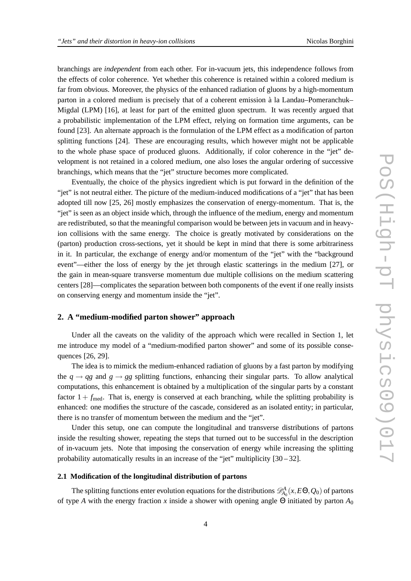branchings are *independent* from each other. For in-vacuum jets, this independence follows from the effects of color coherence. Yet whether this coherence is retained within a colored medium is far from obvious. Moreover, the physics of the enhanced radiation of gluons by a high-momentum parton in a colored medium is precisely that of a coherent emission à la Landau–Pomeranchuk– Migdal (LPM) [16], at least for part of the emitted gluon spectrum. It was recently argued that a probabilistic implementation of the LPM effect, relying on formation time arguments, can be found [23]. An alternate approach is the formulation of the LPM effect as a modification of parton splitting functions [24]. These are encouraging results, which however might not be applicable to the whole phase space of produced gluons. Additionally, if color coherence in the "jet" development is not retained in a colored medium, one also loses the angular ordering of successive branchings, which means that the "jet" structure becomes more complicated.

Eventually, the choice of the physics ingredient which is put forward in the definition of the "jet" is not neutral either. The picture of the medium-induced modifications of a "jet" that has been adopted till now [25, 26] mostly emphasizes the conservation of energy-momentum. That is, the "jet" is seen as an object inside which, through the influence of the medium, energy and momentum are redistributed, so that the meaningful comparison would be between jets in vacuum and in heavyion collisions with the same energy. The choice is greatly motivated by considerations on the (parton) production cross-sections, yet it should be kept in mind that there is some arbitrariness in it. In particular, the exchange of energy and/or momentum of the "jet" with the "background event"—either the loss of energy by the jet through elastic scatterings in the medium [27], or the gain in mean-square transverse momentum due multiple collisions on the medium scattering centers [28]—complicates the separation between both components of the event if one really insists on conserving energy and momentum inside the "jet".

## **2. A "medium-modified parton shower" approach**

Under all the caveats on the validity of the approach which were recalled in Section 1, let me introduce my model of a "medium-modified parton shower" and some of its possible consequences [26, 29].

The idea is to mimick the medium-enhanced radiation of gluons by a fast parton by modifying the  $q \rightarrow qg$  and  $g \rightarrow gg$  splitting functions, enhancing their singular parts. To allow analytical computations, this enhancement is obtained by a multiplication of the singular parts by a constant factor  $1 + f_{\text{med}}$ . That is, energy is conserved at each branching, while the splitting probability is enhanced: one modifies the structure of the cascade, considered as an isolated entity; in particular, there is no transfer of momentum between the medium and the "jet".

Under this setup, one can compute the longitudinal and transverse distributions of partons inside the resulting shower, repeating the steps that turned out to be successful in the description of in-vacuum jets. Note that imposing the conservation of energy while increasing the splitting probability automatically results in an increase of the "jet" multiplicity  $[30 - 32]$ .

#### **2.1 Modification of the longitudinal distribution of partons**

The splitting functions enter evolution equations for the distributions  $\mathscr{D}^A_{A_0}(x, E \Theta, Q_0)$  of partons of type *A* with the energy fraction *x* inside a shower with opening angle Θ initiated by parton *A*<sup>0</sup>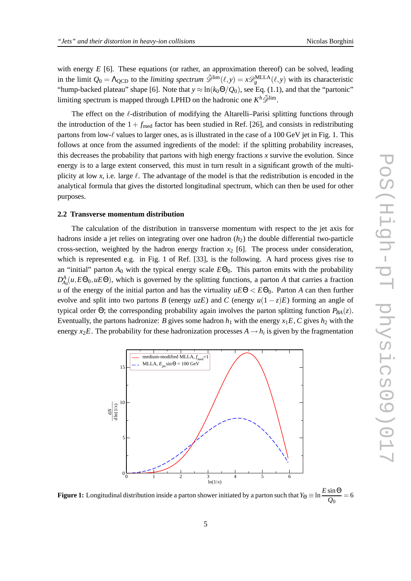with energy *E* [6]. These equations (or rather, an approximation thereof) can be solved, leading in the limit  $Q_0 = \Lambda_{\text{QCD}}$  to the *limiting spectrum*  $\tilde{\mathcal{D}}^{\text{lim}}(\ell, y) = x \mathcal{D}_g^{\text{MLLA}}(\ell, y)$  with its characteristic "hump-backed plateau" shape [6]. Note that  $y \approx \ln(k_0 \Theta/Q_0)$ , see Eq. (1.1), and that the "partonic" limiting spectrum is mapped through LPHD on the hadronic one  $K^h\tilde{\mathscr{D}}^{\text{lim}}$ .

The effect on the le-distribution of modifying the Altarelli–Parisi splitting functions through the introduction of the  $1 + f_{\text{med}}$  factor has been studied in Ref. [26], and consists in redistributing partons from low-ℓ values to larger ones, as is illustrated in the case of a 100 GeV jet in Fig. 1. This follows at once from the assumed ingredients of the model: if the splitting probability increases, this decreases the probability that partons with high energy fractions *x* survive the evolution. Since energy is to a large extent conserved, this must in turn result in a significant growth of the multiplicity at low x, i.e. large  $\ell$ . The advantage of the model is that the redistribution is encoded in the analytical formula that gives the distorted longitudinal spectrum, which can then be used for other purposes.

#### **2.2 Transverse momentum distribution**

The calculation of the distribution in transverse momentum with respect to the jet axis for hadrons inside a jet relies on integrating over one hadron  $(h<sub>2</sub>)$  the double differential two-particle cross-section, weighted by the hadron energy fraction  $x<sub>2</sub>$  [6]. The process under consideration, which is represented e.g. in Fig. 1 of Ref. [33], is the following. A hard process gives rise to an "initial" parton  $A_0$  with the typical energy scale  $E\Theta_0$ . This parton emits with the probability  $D_{A_0}^A(u, E\Theta_0, uE\Theta)$ , which is governed by the splitting functions, a parton *A* that carries a fraction *u* of the energy of the initial parton and has the virtuality  $uE\Theta < E\Theta_0$ . Parton *A* can then further evolve and split into two partons *B* (energy  $u\overline{z}E$ ) and *C* (energy  $u(1-\overline{z})E$ ) forming an angle of typical order Θ; the corresponding probability again involves the parton splitting function *PBA*(*z*). Eventually, the partons hadronize: *B* gives some hadron  $h_1$  with the energy  $x_1E$ , *C* gives  $h_2$  with the energy  $x_2E$ . The probability for these hadronization processes  $A \rightarrow h_i$  is given by the fragmentation



**Figure 1:** Longitudinal distribution inside a parton shower initiated by a parton such that  $Y_{\Theta} \equiv \ln \frac{E \sin \Theta}{Q_0} = 6$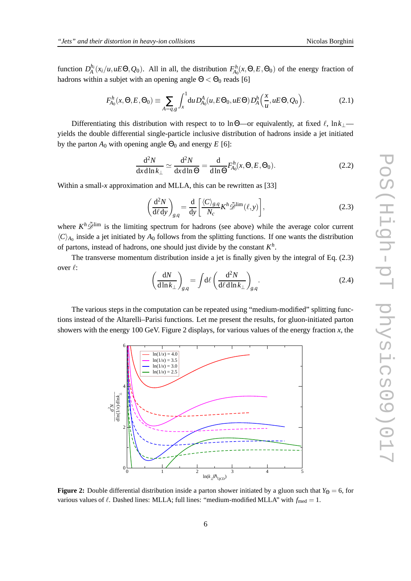function  $D_A^{h_i}(x_i/u, uE\Theta, Q_0)$ . All in all, the distribution  $F_{A_0}^h(x, \Theta, E, \Theta_0)$  of the energy fraction of hadrons within a subjet with an opening angle  $\Theta < \Theta_0$  reads [6]

$$
F_{A_0}^h(x,\Theta,E,\Theta_0) \equiv \sum_{A=q,g} \int_x^1 du D_{A_0}^A(u,E\Theta_0,uE\Theta) D_A^h\left(\frac{x}{u},uE\Theta,Q_0\right). \tag{2.1}
$$

Differentiating this distribution with respect to to lnΘ—or equivalently, at fixed  $\ell$ , ln $k_1$  yields the double differential single-particle inclusive distribution of hadrons inside a jet initiated by the parton  $A_0$  with opening angle  $\Theta_0$  and energy  $E$  [6]:

$$
\frac{\mathrm{d}^2 N}{\mathrm{d}x \mathrm{d}\ln k_\perp} \simeq \frac{\mathrm{d}^2 N}{\mathrm{d}x \mathrm{d}\ln \Theta} = \frac{\mathrm{d}}{\mathrm{d}\ln \Theta} F_{A_0}^h(x, \Theta, E, \Theta_0). \tag{2.2}
$$

Within a small-*x* approximation and MLLA, this can be rewritten as [33]

$$
\left(\frac{\mathrm{d}^2 N}{\mathrm{d}\ell \,\mathrm{d}y}\right)_{g,q} = \frac{\mathrm{d}}{\mathrm{d}y} \left[ \frac{\langle C \rangle_{g,q}}{N_c} K^h \tilde{\mathscr{D}}^{\lim}(\ell, y) \right],\tag{2.3}
$$

where  $K^h\tilde{\mathscr{D}}^{\text{lim}}$  is the limiting spectrum for hadrons (see above) while the average color current  $\langle C \rangle_{A_0}$  inside a jet initiated by  $A_0$  follows from the splitting functions. If one wants the distribution of partons, instead of hadrons, one should just divide by the constant *K h* .

The transverse momentum distribution inside a jet is finally given by the integral of Eq. (2.3) over ℓ:

$$
\left(\frac{dN}{d\ln k_{\perp}}\right)_{g,q} = \int d\ell \left(\frac{d^2N}{d\ell d\ln k_{\perp}}\right)_{g,q}.
$$
\n(2.4)

The various steps in the computation can be repeated using "medium-modified" splitting functions instead of the Altarelli–Parisi functions. Let me present the results, for gluon-initiated parton showers with the energy 100 GeV. Figure 2 displays, for various values of the energy fraction *x*, the



**Figure 2:** Double differential distribution inside a parton shower initiated by a gluon such that  $Y_{\Theta} = 6$ , for various values of  $\ell$ . Dashed lines: MLLA; full lines: "medium-modified MLLA" with  $f_{\text{med}} = 1$ .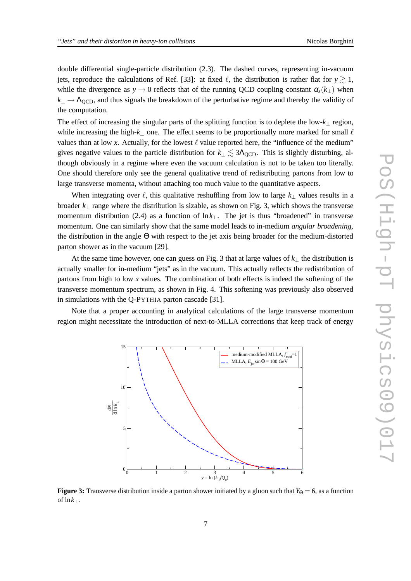double differential single-particle distribution (2.3). The dashed curves, representing in-vacuum jets, reproduce the calculations of Ref. [33]: at fixed  $\ell$ , the distribution is rather flat for  $y \ge 1$ , while the divergence as  $y \to 0$  reflects that of the running QCD coupling constant  $\alpha_s(k_\perp)$  when  $k_{\perp} \rightarrow \Lambda_{\text{QCD}}$ , and thus signals the breakdown of the perturbative regime and thereby the validity of the computation.

The effect of increasing the singular parts of the splitting function is to deplete the low-*k*<sup>⊥</sup> region, while increasing the high- $k_{\perp}$  one. The effect seems to be proportionally more marked for small  $\ell$ values than at low x. Actually, for the lowest  $\ell$  value reported here, the "influence of the medium" gives negative values to the particle distribution for  $k_\perp \lesssim 3\Lambda_{\text{QCD}}$ . This is slightly disturbing, although obviously in a regime where even the vacuum calculation is not to be taken too literally. One should therefore only see the general qualitative trend of redistributing partons from low to large transverse momenta, without attaching too much value to the quantitative aspects.

When integrating over  $\ell$ , this qualitative reshuffling from low to large  $k_{\perp}$  values results in a broader *k*<sup>⊥</sup> range where the distribution is sizable, as shown on Fig. 3, which shows the transverse momentum distribution (2.4) as a function of  $\ln k_1$ . The jet is thus "broadened" in transverse momentum. One can similarly show that the same model leads to in-medium *angular broadening*, the distribution in the angle Θ with respect to the jet axis being broader for the medium-distorted parton shower as in the vacuum [29].

At the same time however, one can guess on Fig. 3 that at large values of *k*<sup>⊥</sup> the distribution is actually smaller for in-medium "jets" as in the vacuum. This actually reflects the redistribution of partons from high to low *x* values. The combination of both effects is indeed the softening of the transverse momentum spectrum, as shown in Fig. 4. This softening was previously also observed in simulations with the Q-PYTHIA parton cascade [31].

Note that a proper accounting in analytical calculations of the large transverse momentum region might necessitate the introduction of next-to-MLLA corrections that keep track of energy



**Figure 3:** Transverse distribution inside a parton shower initiated by a gluon such that  $Y_{\Theta} = 6$ , as a function of  $\ln k_\perp$ .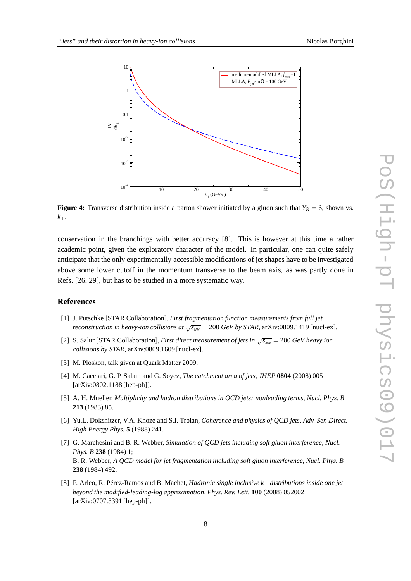

**Figure 4:** Transverse distribution inside a parton shower initiated by a gluon such that  $Y_{\Theta} = 6$ , shown vs. *k*⊥.

conservation in the branchings with better accuracy [8]. This is however at this time a rather academic point, given the exploratory character of the model. In particular, one can quite safely anticipate that the only experimentally accessible modifications of jet shapes have to be investigated above some lower cutoff in the momentum transverse to the beam axis, as was partly done in Refs. [26, 29], but has to be studied in a more systematic way.

#### **References**

- [1] J. Putschke [STAR Collaboration], *First fragmentation function measurements from full jet reconstruction in heavy-ion collisions at*  $\sqrt{s_{NN}}$  = 200 *GeV by STAR*, arXiv:0809.1419 [nucl-ex].
- [2] S. Salur [STAR Collaboration], *First direct measurement of jets in*  $\sqrt{s_{NN}}$  = 200 *GeV heavy ion collisions by STAR*, arXiv:0809.1609 [nucl-ex].
- [3] M. Ploskon, talk given at Quark Matter 2009.
- [4] M. Cacciari, G. P. Salam and G. Soyez, *The catchment area of jets*, *JHEP* **0804** (2008) 005 [arXiv:0802.1188 [hep-ph]].
- [5] A. H. Mueller, *Multiplicity and hadron distributions in QCD jets: nonleading terms*, *Nucl. Phys. B* **213** (1983) 85.
- [6] Yu.L. Dokshitzer, V.A. Khoze and S.I. Troian, *Coherence and physics of QCD jets*, *Adv. Ser. Direct. High Energy Phys.* **5** (1988) 241.
- [7] G. Marchesini and B. R. Webber, *Simulation of QCD jets including soft gluon interference*, *Nucl. Phys. B* **238** (1984) 1; B. R. Webber, *A QCD model for jet fragmentation including soft gluon interference*, *Nucl. Phys. B* **238** (1984) 492.
- [8] F. Arleo, R. Pérez-Ramos and B. Machet, *Hadronic single inclusive k*<sup>⊥</sup> *distributions inside one jet beyond the modified-leading-log approximation*, *Phys. Rev. Lett.* **100** (2008) 052002 [arXiv:0707.3391 [hep-ph]].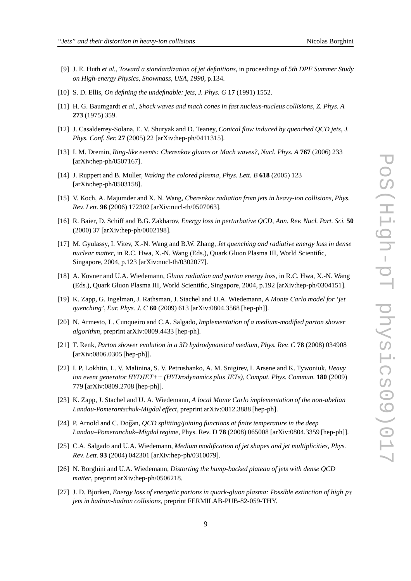- [9] J. E. Huth *et al.*, *Toward a standardization of jet definitions*, in proceedings of *5th DPF Summer Study on High-energy Physics, Snowmass, USA, 1990*, p.134.
- [10] S. D. Ellis, *On defining the undefinable: jets*, *J. Phys. G* **17** (1991) 1552.
- [11] H. G. Baumgardt *et al.*, *Shock waves and mach cones in fast nucleus-nucleus collisions*, *Z. Phys. A* **273** (1975) 359.
- [12] J. Casalderrey-Solana, E. V. Shuryak and D. Teaney, *Conical flow induced by quenched QCD jets*, *J. Phys. Conf. Ser.* **27** (2005) 22 [arXiv:hep-ph/0411315].
- [13] I. M. Dremin, *Ring-like events: Cherenkov gluons or Mach waves?*, *Nucl. Phys. A* **767** (2006) 233 [arXiv:hep-ph/0507167].
- [14] J. Ruppert and B. Muller, *Waking the colored plasma*, *Phys. Lett. B* **618** (2005) 123 [arXiv:hep-ph/0503158].
- [15] V. Koch, A. Majumder and X. N. Wang, *Cherenkov radiation from jets in heavy-ion collisions*, *Phys. Rev. Lett.* **96** (2006) 172302 [arXiv:nucl-th/0507063].
- [16] R. Baier, D. Schiff and B.G. Zakharov, *Energy loss in perturbative QCD*, *Ann. Rev. Nucl. Part. Sci.* **50** (2000) 37 [arXiv:hep-ph/0002198].
- [17] M. Gyulassy, I. Vitev, X.-N. Wang and B.W. Zhang, *Jet quenching and radiative energy loss in dense nuclear matter*, in R.C. Hwa, X.-N. Wang (Eds.), Quark Gluon Plasma III, World Scientific, Singapore, 2004, p.123 [arXiv:nucl-th/0302077].
- [18] A. Kovner and U.A. Wiedemann, *Gluon radiation and parton energy loss*, in R.C. Hwa, X.-N. Wang (Eds.), Quark Gluon Plasma III, World Scientific, Singapore, 2004, p.192 [arXiv:hep-ph/0304151].
- [19] K. Zapp, G. Ingelman, J. Rathsman, J. Stachel and U.A. Wiedemann, *A Monte Carlo model for 'jet quenching'*, *Eur. Phys. J. C* **60** (2009) 613 [arXiv:0804.3568 [hep-ph]].
- [20] N. Armesto, L. Cunqueiro and C.A. Salgado, *Implementation of a medium-modified parton shower algorithm*, preprint arXiv:0809.4433 [hep-ph].
- [21] T. Renk, *Parton shower evolution in a 3D hydrodynamical medium*, *Phys. Rev. C* **78** (2008) 034908 [arXiv:0806.0305 [hep-ph]].
- [22] I. P. Lokhtin, L. V. Malinina, S. V. Petrushanko, A. M. Snigirev, I. Arsene and K. Tywoniuk, *Heavy ion event generator HYDJET++ (HYDrodynamics plus JETs)*, *Comput. Phys. Commun.* **180** (2009) 779 [arXiv:0809.2708 [hep-ph]].
- [23] K. Zapp, J. Stachel and U. A. Wiedemann, *A local Monte Carlo implementation of the non-abelian Landau-Pomerantschuk-Migdal effect*, preprint arXiv:0812.3888 [hep-ph].
- [24] P. Arnold and C. Doğan, *QCD splitting/joining functions at finite temperature in the deep Landau–Pomeranchuk–Migdal regime*, Phys. Rev. D **78** (2008) 065008 [arXiv:0804.3359 [hep-ph]].
- [25] C.A. Salgado and U.A. Wiedemann, *Medium modification of jet shapes and jet multiplicities*, *Phys. Rev. Lett.* **93** (2004) 042301 [arXiv:hep-ph/0310079].
- [26] N. Borghini and U.A. Wiedemann, *Distorting the hump-backed plateau of jets with dense QCD matter*, preprint arXiv:hep-ph/0506218.
- [27] J. D. Bjorken, *Energy loss of energetic partons in quark-gluon plasma: Possible extinction of high p<sup>T</sup> jets in hadron-hadron collisions*, preprint FERMILAB-PUB-82-059-THY.